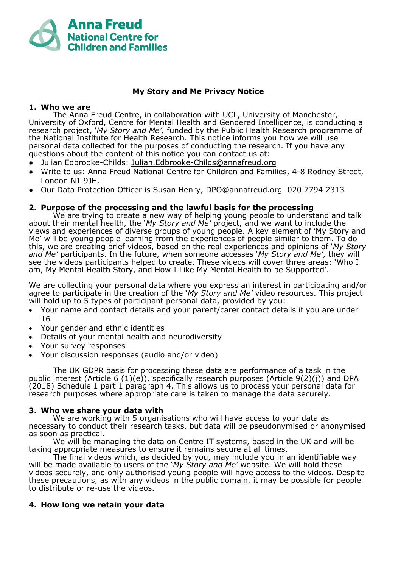

# **My Story and Me Privacy Notice**

## **1. Who we are**

The Anna Freud Centre, in collaboration with UCL, University of Manchester, University of Oxford, Centre for Mental Health and Gendered Intelligence, is conducting a research project, '*My Story and Me',* funded by the Public Health Research programme of the National Institute for Health Research. This notice informs you how we will use personal data collected for the purposes of conducting the research. If you have any questions about the content of this notice you can contact us at:

- Julian Edbrooke-Childs: [Julian.Edbrooke-Childs@annafreud.org](mailto:Julian.Edbrooke-Childs@annafreud.org)
- Write to us: Anna Freud National Centre for Children and Families, 4-8 Rodney Street, London N1 9JH.
- Our Data Protection Officer is Susan Henry, DPO@annafreud.org 020 7794 2313

# **2. Purpose of the processing and the lawful basis for the processing**

We are trying to create a new way of helping young people to understand and talk about their mental health, the '*My Story and Me'* project, and we want to include the views and experiences of diverse groups of young people. A key element of 'My Story and Me' will be young people learning from the experiences of people similar to them. To do this, we are creating brief videos, based on the real experiences and opinions of '*My Story and Me'* participants. In the future, when someone accesses '*My Story and Me'*, they will see the videos participants helped to create. These videos will cover three areas: 'Who I am, My Mental Health Story, and How I Like My Mental Health to be Supported'.

We are collecting your personal data where you express an interest in participating and/or agree to participate in the creation of the '*My Story and Me'* video resources. This project will hold up to 5 types of participant personal data, provided by you:

- Your name and contact details and your parent/carer contact details if you are under 16
- Your gender and ethnic identities
- Details of your mental health and neurodiversity
- Your survey responses
- Your discussion responses (audio and/or video)

The UK GDPR basis for processing these data are performance of a task in the public interest (Article 6 (1)(e)), specifically research purposes (Article  $9(2)(i)$ ) and DPA (2018) Schedule 1 part 1 paragraph 4. This allows us to process your personal data for research purposes where appropriate care is taken to manage the data securely.

### **3. Who we share your data with**

We are working with 5 organisations who will have access to your data as necessary to conduct their research tasks, but data will be pseudonymised or anonymised as soon as practical.

We will be managing the data on Centre IT systems, based in the UK and will be taking appropriate measures to ensure it remains secure at all times.

The final videos which, as decided by you, may include you in an identifiable way will be made available to users of the '*My Story and Me'* website. We will hold these videos securely, and only authorised young people will have access to the videos. Despite these precautions, as with any videos in the public domain, it may be possible for people to distribute or re-use the videos.

### **4. How long we retain your data**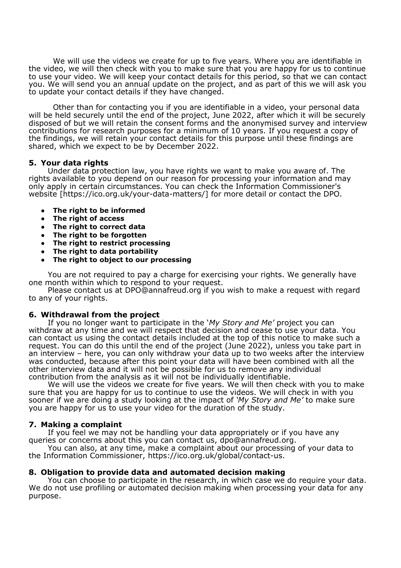We will use the videos we create for up to five years. Where you are identifiable in the video, we will then check with you to make sure that you are happy for us to continue to use your video. We will keep your contact details for this period, so that we can contact you. We will send you an annual update on the project, and as part of this we will ask you to update your contact details if they have changed.

Other than for contacting you if you are identifiable in a video, your personal data will be held securely until the end of the project, June 2022, after which it will be securely disposed of but we will retain the consent forms and the anonymised survey and interview contributions for research purposes for a minimum of 10 years. If you request a copy of the findings, we will retain your contact details for this purpose until these findings are shared, which we expect to be by December 2022.

#### **5. Your data rights**

Under data protection law, you have rights we want to make you aware of. The rights available to you depend on our reason for processing your information and may only apply in certain circumstances. You can check the Information Commissioner's website [https://ico.org.uk/your-data-matters/] for more detail or contact the DPO.

- **The right to be informed**
- **The right of access**
- **The right to correct data**
- **The right to be forgotten**
- **The right to restrict processing**
- **The right to data portability**
- **The right to object to our processing**

You are not required to pay a charge for exercising your rights. We generally have one month within which to respond to your request.

Please contact us at DPO@annafreud.org if you wish to make a request with regard to any of your rights.

### **6. Withdrawal from the project**

If you no longer want to participate in the '*My Story and Me'* project you can withdraw at any time and we will respect that decision and cease to use your data. You can contact us using the contact details included at the top of this notice to make such a request. You can do this until the end of the project (June 2022), unless you take part in an interview – here, you can only withdraw your data up to two weeks after the interview was conducted, because after this point your data will have been combined with all the other interview data and it will not be possible for us to remove any individual contribution from the analysis as it will not be individually identifiable.

We will use the videos we create for five years. We will then check with you to make sure that you are happy for us to continue to use the videos. We will check in with you sooner if we are doing a study looking at the impact of *'My Story and Me'* to make sure you are happy for us to use your video for the duration of the study.

### **7. Making a complaint**

If you feel we may not be handling your data appropriately or if you have any queries or concerns about this you can contact us, [dpo@annafreud.org.](mailto:dpo@annafreud.org)

You can also, at any time, make a complaint about our processing of your data to the Information Commissioner, [https://ico.org.uk/global/contact-us.](https://ico.org.uk/global/contact-us)

#### **8. Obligation to provide data and automated decision making**

You can choose to participate in the research, in which case we do require your data. We do not use profiling or automated decision making when processing your data for any purpose.